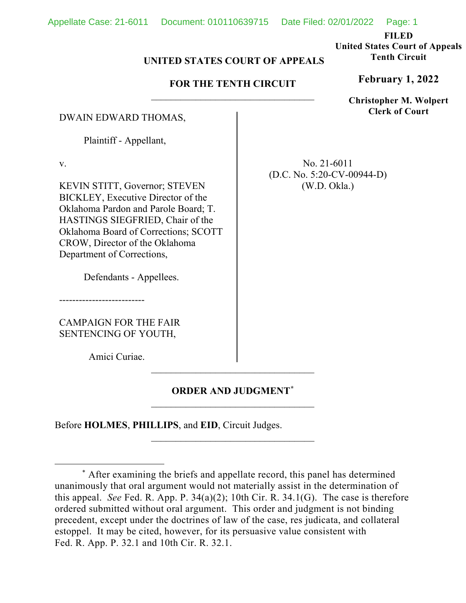**FILED**

**United States Court of Appeals Tenth Circuit**

## **UNITED STATES COURT OF APPEALS**

## **FOR THE TENTH CIRCUIT** \_\_\_\_\_\_\_\_\_\_\_\_\_\_\_\_\_\_\_\_\_\_\_\_\_\_\_\_\_\_\_\_\_

DWAIN EDWARD THOMAS,

Plaintiff - Appellant,

v.

KEVIN STITT, Governor; STEVEN BICKLEY, Executive Director of the Oklahoma Pardon and Parole Board; T. HASTINGS SIEGFRIED, Chair of the Oklahoma Board of Corrections; SCOTT CROW, Director of the Oklahoma Department of Corrections,

Defendants - Appellees.

--------------------------

CAMPAIGN FOR THE FAIR SENTENCING OF YOUTH,

Amici Curiae.

# **ORDER AND JUDGMENT[\\*](#page-0-0)** \_\_\_\_\_\_\_\_\_\_\_\_\_\_\_\_\_\_\_\_\_\_\_\_\_\_\_\_\_\_\_\_\_

 $\mathcal{L}_\text{max}$  and  $\mathcal{L}_\text{max}$  and  $\mathcal{L}_\text{max}$  and  $\mathcal{L}_\text{max}$ 

\_\_\_\_\_\_\_\_\_\_\_\_\_\_\_\_\_\_\_\_\_\_\_\_\_\_\_\_\_\_\_\_\_

Before **HOLMES**, **PHILLIPS**, and **EID**, Circuit Judges.

**February 1, 2022**

**Christopher M. Wolpert Clerk of Court**

No. 21-6011 (D.C. No. 5:20-CV-00944-D) (W.D. Okla.)

<span id="page-0-0"></span><sup>\*</sup> After examining the briefs and appellate record, this panel has determined unanimously that oral argument would not materially assist in the determination of this appeal. *See* Fed. R. App. P. 34(a)(2); 10th Cir. R. 34.1(G). The case is therefore ordered submitted without oral argument. This order and judgment is not binding precedent, except under the doctrines of law of the case, res judicata, and collateral estoppel. It may be cited, however, for its persuasive value consistent with Fed. R. App. P. 32.1 and 10th Cir. R. 32.1.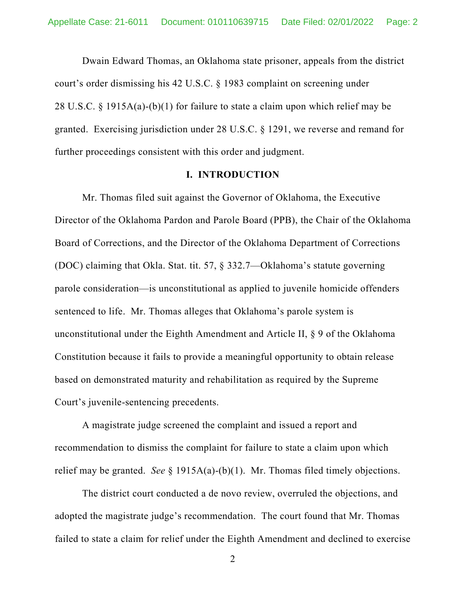Dwain Edward Thomas, an Oklahoma state prisoner, appeals from the district court's order dismissing his 42 U.S.C. § 1983 complaint on screening under 28 U.S.C. § 1915A(a)-(b)(1) for failure to state a claim upon which relief may be granted. Exercising jurisdiction under 28 U.S.C. § 1291, we reverse and remand for further proceedings consistent with this order and judgment.

#### **I. INTRODUCTION**

Mr. Thomas filed suit against the Governor of Oklahoma, the Executive Director of the Oklahoma Pardon and Parole Board (PPB), the Chair of the Oklahoma Board of Corrections, and the Director of the Oklahoma Department of Corrections (DOC) claiming that Okla. Stat. tit. 57, § 332.7—Oklahoma's statute governing parole consideration—is unconstitutional as applied to juvenile homicide offenders sentenced to life. Mr. Thomas alleges that Oklahoma's parole system is unconstitutional under the Eighth Amendment and Article II, § 9 of the Oklahoma Constitution because it fails to provide a meaningful opportunity to obtain release based on demonstrated maturity and rehabilitation as required by the Supreme Court's juvenile-sentencing precedents.

A magistrate judge screened the complaint and issued a report and recommendation to dismiss the complaint for failure to state a claim upon which relief may be granted. *See* § 1915A(a)-(b)(1). Mr. Thomas filed timely objections.

The district court conducted a de novo review, overruled the objections, and adopted the magistrate judge's recommendation. The court found that Mr. Thomas failed to state a claim for relief under the Eighth Amendment and declined to exercise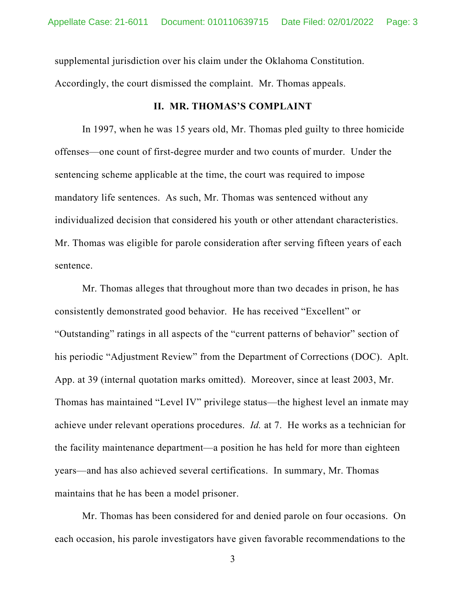supplemental jurisdiction over his claim under the Oklahoma Constitution. Accordingly, the court dismissed the complaint. Mr. Thomas appeals.

### **II. MR. THOMAS'S COMPLAINT**

In 1997, when he was 15 years old, Mr. Thomas pled guilty to three homicide offenses—one count of first-degree murder and two counts of murder. Under the sentencing scheme applicable at the time, the court was required to impose mandatory life sentences. As such, Mr. Thomas was sentenced without any individualized decision that considered his youth or other attendant characteristics. Mr. Thomas was eligible for parole consideration after serving fifteen years of each sentence.

Mr. Thomas alleges that throughout more than two decades in prison, he has consistently demonstrated good behavior. He has received "Excellent" or "Outstanding" ratings in all aspects of the "current patterns of behavior" section of his periodic "Adjustment Review" from the Department of Corrections (DOC). Aplt. App. at 39 (internal quotation marks omitted). Moreover, since at least 2003, Mr. Thomas has maintained "Level IV" privilege status—the highest level an inmate may achieve under relevant operations procedures. *Id.* at 7. He works as a technician for the facility maintenance department—a position he has held for more than eighteen years—and has also achieved several certifications. In summary, Mr. Thomas maintains that he has been a model prisoner.

Mr. Thomas has been considered for and denied parole on four occasions. On each occasion, his parole investigators have given favorable recommendations to the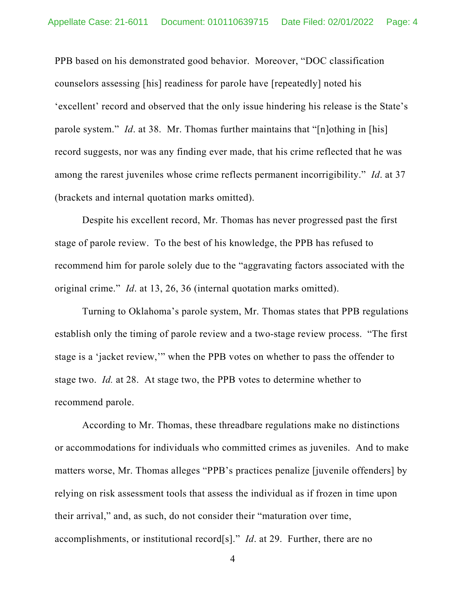PPB based on his demonstrated good behavior. Moreover, "DOC classification counselors assessing [his] readiness for parole have [repeatedly] noted his 'excellent' record and observed that the only issue hindering his release is the State's parole system." *Id*. at 38. Mr. Thomas further maintains that "[n]othing in [his] record suggests, nor was any finding ever made, that his crime reflected that he was among the rarest juveniles whose crime reflects permanent incorrigibility." *Id*. at 37 (brackets and internal quotation marks omitted).

Despite his excellent record, Mr. Thomas has never progressed past the first stage of parole review. To the best of his knowledge, the PPB has refused to recommend him for parole solely due to the "aggravating factors associated with the original crime." *Id*. at 13, 26, 36 (internal quotation marks omitted).

Turning to Oklahoma's parole system, Mr. Thomas states that PPB regulations establish only the timing of parole review and a two-stage review process. "The first stage is a 'jacket review,'" when the PPB votes on whether to pass the offender to stage two. *Id.* at 28. At stage two, the PPB votes to determine whether to recommend parole.

According to Mr. Thomas, these threadbare regulations make no distinctions or accommodations for individuals who committed crimes as juveniles. And to make matters worse, Mr. Thomas alleges "PPB's practices penalize [juvenile offenders] by relying on risk assessment tools that assess the individual as if frozen in time upon their arrival," and, as such, do not consider their "maturation over time, accomplishments, or institutional record[s]." *Id*. at 29. Further, there are no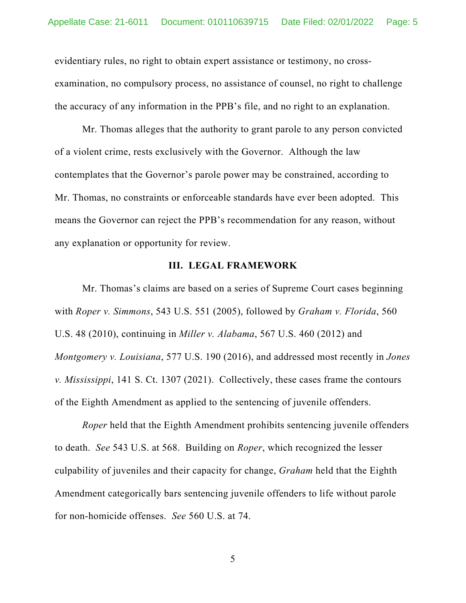evidentiary rules, no right to obtain expert assistance or testimony, no crossexamination, no compulsory process, no assistance of counsel, no right to challenge the accuracy of any information in the PPB's file, and no right to an explanation.

Mr. Thomas alleges that the authority to grant parole to any person convicted of a violent crime, rests exclusively with the Governor. Although the law contemplates that the Governor's parole power may be constrained, according to Mr. Thomas, no constraints or enforceable standards have ever been adopted. This means the Governor can reject the PPB's recommendation for any reason, without any explanation or opportunity for review.

### **III. LEGAL FRAMEWORK**

Mr. Thomas's claims are based on a series of Supreme Court cases beginning with *Roper v. Simmons*, 543 U.S. 551 (2005), followed by *Graham v. Florida*, 560 U.S. 48 (2010), continuing in *Miller v. Alabama*, 567 U.S. 460 (2012) and *Montgomery v. Louisiana*, 577 U.S. 190 (2016), and addressed most recently in *Jones v. Mississippi*, 141 S. Ct. 1307 (2021). Collectively, these cases frame the contours of the Eighth Amendment as applied to the sentencing of juvenile offenders.

*Roper* held that the Eighth Amendment prohibits sentencing juvenile offenders to death. *See* 543 U.S. at 568. Building on *Roper*, which recognized the lesser culpability of juveniles and their capacity for change, *Graham* held that the Eighth Amendment categorically bars sentencing juvenile offenders to life without parole for non-homicide offenses. *See* 560 U.S. at 74.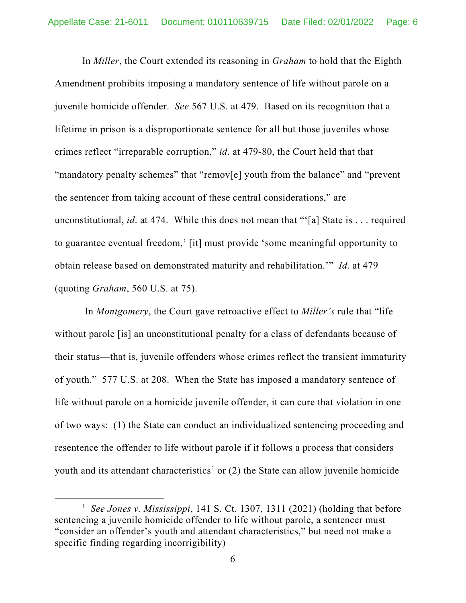In *Miller*, the Court extended its reasoning in *Graham* to hold that the Eighth Amendment prohibits imposing a mandatory sentence of life without parole on a juvenile homicide offender. *See* 567 U.S. at 479. Based on its recognition that a lifetime in prison is a disproportionate sentence for all but those juveniles whose crimes reflect "irreparable corruption," *id*. at 479-80, the Court held that that "mandatory penalty schemes" that "remov[e] youth from the balance" and "prevent the sentencer from taking account of these central considerations," are unconstitutional, *id*. at 474. While this does not mean that "'[a] State is . . . required to guarantee eventual freedom,' [it] must provide 'some meaningful opportunity to obtain release based on demonstrated maturity and rehabilitation.'" *Id*. at 479 (quoting *Graham*, 560 U.S. at 75).

In *Montgomery*, the Court gave retroactive effect to *Miller's* rule that "life without parole [is] an unconstitutional penalty for a class of defendants because of their status—that is, juvenile offenders whose crimes reflect the transient immaturity of youth." 577 U.S. at 208. When the State has imposed a mandatory sentence of life without parole on a homicide juvenile offender, it can cure that violation in one of two ways: (1) the State can conduct an individualized sentencing proceeding and resentence the offender to life without parole if it follows a process that considers youth and its attendant characteristics<sup>[1](#page-5-0)</sup> or (2) the State can allow juvenile homicide

<span id="page-5-0"></span><sup>1</sup> *See Jones v. Mississippi*, 141 S. Ct. 1307, 1311 (2021) (holding that before sentencing a juvenile homicide offender to life without parole, a sentencer must "consider an offender's youth and attendant characteristics," but need not make a specific finding regarding incorrigibility)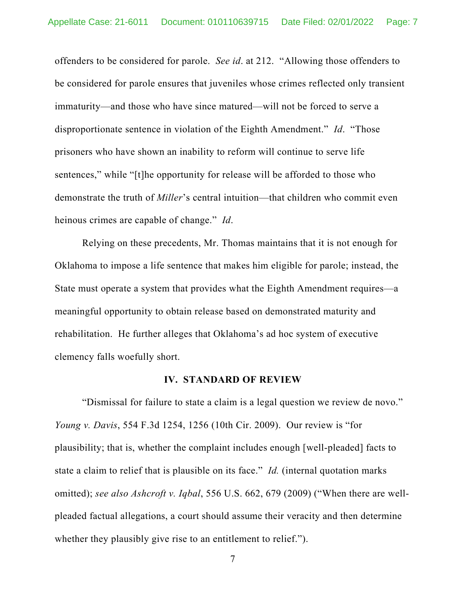offenders to be considered for parole. *See id*. at 212. "Allowing those offenders to be considered for parole ensures that juveniles whose crimes reflected only transient immaturity—and those who have since matured—will not be forced to serve a disproportionate sentence in violation of the Eighth Amendment." *Id*. "Those prisoners who have shown an inability to reform will continue to serve life sentences," while "[t]he opportunity for release will be afforded to those who demonstrate the truth of *Miller*'s central intuition—that children who commit even heinous crimes are capable of change." *Id*.

Relying on these precedents, Mr. Thomas maintains that it is not enough for Oklahoma to impose a life sentence that makes him eligible for parole; instead, the State must operate a system that provides what the Eighth Amendment requires—a meaningful opportunity to obtain release based on demonstrated maturity and rehabilitation. He further alleges that Oklahoma's ad hoc system of executive clemency falls woefully short.

#### **IV. STANDARD OF REVIEW**

"Dismissal for failure to state a claim is a legal question we review de novo." *Young v. Davis*, 554 F.3d 1254, 1256 (10th Cir. 2009). Our review is "for plausibility; that is, whether the complaint includes enough [well-pleaded] facts to state a claim to relief that is plausible on its face." *Id.* (internal quotation marks omitted); *see also Ashcroft v. Iqbal*, 556 U.S. 662, 679 (2009) ("When there are wellpleaded factual allegations, a court should assume their veracity and then determine whether they plausibly give rise to an entitlement to relief.").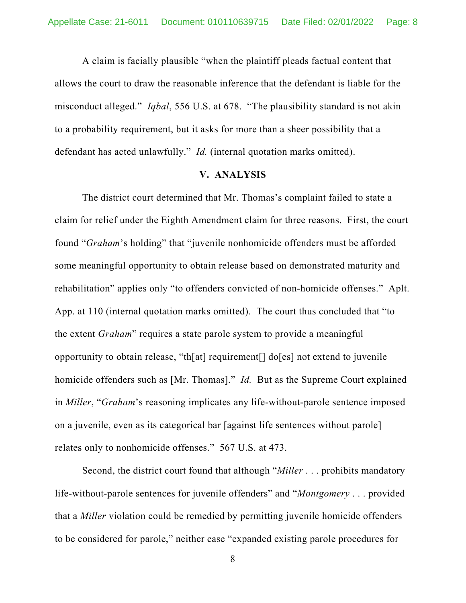A claim is facially plausible "when the plaintiff pleads factual content that allows the court to draw the reasonable inference that the defendant is liable for the misconduct alleged." *Iqbal*, 556 U.S. at 678. "The plausibility standard is not akin to a probability requirement, but it asks for more than a sheer possibility that a defendant has acted unlawfully." *Id.* (internal quotation marks omitted).

#### **V. ANALYSIS**

The district court determined that Mr. Thomas's complaint failed to state a claim for relief under the Eighth Amendment claim for three reasons. First, the court found "*Graham*'s holding" that "juvenile nonhomicide offenders must be afforded some meaningful opportunity to obtain release based on demonstrated maturity and rehabilitation" applies only "to offenders convicted of non-homicide offenses." Aplt. App. at 110 (internal quotation marks omitted). The court thus concluded that "to the extent *Graham*" requires a state parole system to provide a meaningful opportunity to obtain release, "th[at] requirement[] do[es] not extend to juvenile homicide offenders such as [Mr. Thomas]." *Id.* But as the Supreme Court explained in *Miller*, "*Graham*'s reasoning implicates any life-without-parole sentence imposed on a juvenile, even as its categorical bar [against life sentences without parole] relates only to nonhomicide offenses." 567 U.S. at 473.

Second, the district court found that although "*Miller* . . . prohibits mandatory life-without-parole sentences for juvenile offenders" and "*Montgomery* . . . provided that a *Miller* violation could be remedied by permitting juvenile homicide offenders to be considered for parole," neither case "expanded existing parole procedures for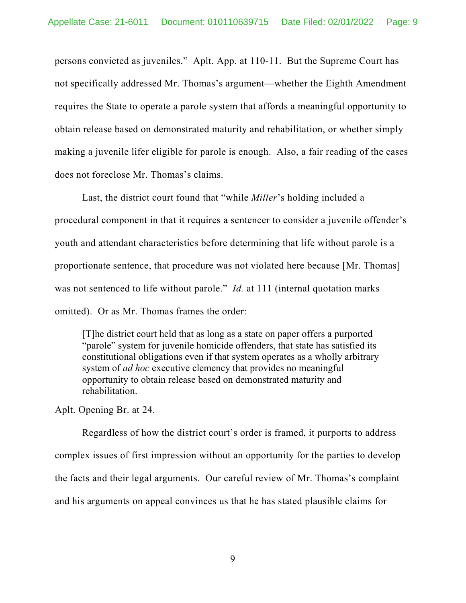persons convicted as juveniles." Aplt. App. at 110-11. But the Supreme Court has not specifically addressed Mr. Thomas's argument—whether the Eighth Amendment requires the State to operate a parole system that affords a meaningful opportunity to obtain release based on demonstrated maturity and rehabilitation, or whether simply making a juvenile lifer eligible for parole is enough. Also, a fair reading of the cases does not foreclose Mr. Thomas's claims.

Last, the district court found that "while *Miller*'s holding included a procedural component in that it requires a sentencer to consider a juvenile offender's youth and attendant characteristics before determining that life without parole is a proportionate sentence, that procedure was not violated here because [Mr. Thomas] was not sentenced to life without parole." *Id.* at 111 (internal quotation marks omitted). Or as Mr. Thomas frames the order:

[T]he district court held that as long as a state on paper offers a purported "parole" system for juvenile homicide offenders, that state has satisfied its constitutional obligations even if that system operates as a wholly arbitrary system of *ad hoc* executive clemency that provides no meaningful opportunity to obtain release based on demonstrated maturity and rehabilitation.

Aplt. Opening Br. at 24.

Regardless of how the district court's order is framed, it purports to address complex issues of first impression without an opportunity for the parties to develop the facts and their legal arguments. Our careful review of Mr. Thomas's complaint and his arguments on appeal convinces us that he has stated plausible claims for